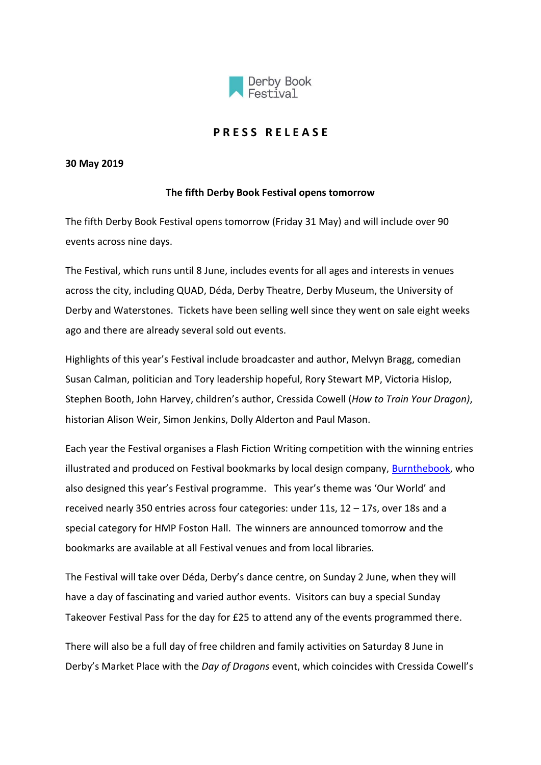

## **P R E S S R E L E A S E**

## **30 May 2019**

## **The fifth Derby Book Festival opens tomorrow**

The fifth Derby Book Festival opens tomorrow (Friday 31 May) and will include over 90 events across nine days.

The Festival, which runs until 8 June, includes events for all ages and interests in venues across the city, including QUAD, Déda, Derby Theatre, Derby Museum, the University of Derby and Waterstones. Tickets have been selling well since they went on sale eight weeks ago and there are already several sold out events.

Highlights of this year's Festival include broadcaster and author, Melvyn Bragg, comedian Susan Calman, politician and Tory leadership hopeful, Rory Stewart MP, Victoria Hislop, Stephen Booth, John Harvey, children's author, Cressida Cowell (*How to Train Your Dragon)*, historian Alison Weir, Simon Jenkins, Dolly Alderton and Paul Mason.

Each year the Festival organises a Flash Fiction Writing competition with the winning entries illustrated and produced on Festival bookmarks by local design company, [Burnthebook,](https://www.burnthebook.co.uk/) who also designed this year's Festival programme. This year's theme was 'Our World' and received nearly 350 entries across four categories: under 11s, 12 – 17s, over 18s and a special category for HMP Foston Hall. The winners are announced tomorrow and the bookmarks are available at all Festival venues and from local libraries.

The Festival will take over Déda, Derby's dance centre, on Sunday 2 June, when they will have a day of fascinating and varied author events. Visitors can buy a special Sunday Takeover Festival Pass for the day for £25 to attend any of the events programmed there.

There will also be a full day of free children and family activities on Saturday 8 June in Derby's Market Place with the *Day of Dragons* event, which coincides with Cressida Cowell's